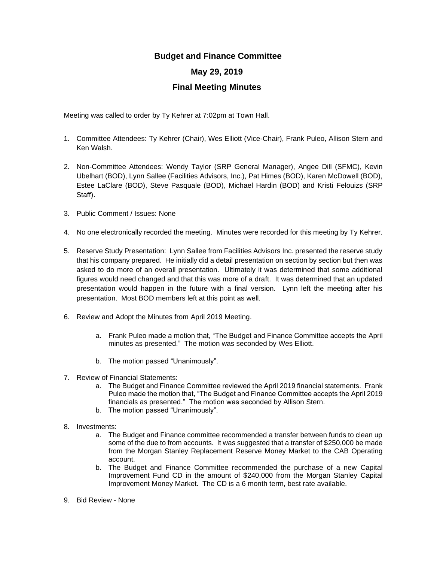## **Budget and Finance Committee**

## **May 29, 2019**

## **Final Meeting Minutes**

Meeting was called to order by Ty Kehrer at 7:02pm at Town Hall.

- 1. Committee Attendees: Ty Kehrer (Chair), Wes Elliott (Vice-Chair), Frank Puleo, Allison Stern and Ken Walsh.
- 2. Non-Committee Attendees: Wendy Taylor (SRP General Manager), Angee Dill (SFMC), Kevin Ubelhart (BOD), Lynn Sallee (Facilities Advisors, Inc.), Pat Himes (BOD), Karen McDowell (BOD), Estee LaClare (BOD), Steve Pasquale (BOD), Michael Hardin (BOD) and Kristi Felouizs (SRP Staff).
- 3. Public Comment / Issues: None
- 4. No one electronically recorded the meeting. Minutes were recorded for this meeting by Ty Kehrer.
- 5. Reserve Study Presentation: Lynn Sallee from Facilities Advisors Inc. presented the reserve study that his company prepared. He initially did a detail presentation on section by section but then was asked to do more of an overall presentation. Ultimately it was determined that some additional figures would need changed and that this was more of a draft. It was determined that an updated presentation would happen in the future with a final version. Lynn left the meeting after his presentation. Most BOD members left at this point as well.
- 6. Review and Adopt the Minutes from April 2019 Meeting.
	- a. Frank Puleo made a motion that, "The Budget and Finance Committee accepts the April minutes as presented." The motion was seconded by Wes Elliott.
	- b. The motion passed "Unanimously".
- 7. Review of Financial Statements:
	- a. The Budget and Finance Committee reviewed the April 2019 financial statements. Frank Puleo made the motion that, "The Budget and Finance Committee accepts the April 2019 financials as presented." The motion was seconded by Allison Stern.
	- b. The motion passed "Unanimously".
- 8. Investments:
	- a. The Budget and Finance committee recommended a transfer between funds to clean up some of the due to from accounts. It was suggested that a transfer of \$250,000 be made from the Morgan Stanley Replacement Reserve Money Market to the CAB Operating account.
	- b. The Budget and Finance Committee recommended the purchase of a new Capital Improvement Fund CD in the amount of \$240,000 from the Morgan Stanley Capital Improvement Money Market. The CD is a 6 month term, best rate available.
- 9. Bid Review None